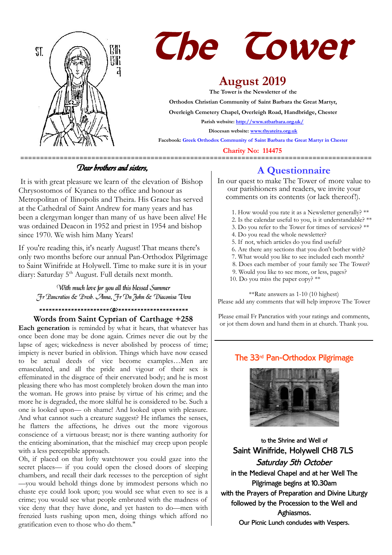



# **August 2019**

**The Tower is the Newsletter of the Orthodox Christian Community of Saint Barbara the Great Martyr, Overleigh Cemetery Chapel, Overleigh Road, Handbridge, Chester Parish website:<http://www.stbarbara.org.uk/> Diocesan website: [www.thyateira.org.uk](http://www.thyateira.org.uk/)**

**Facebook: Greek Orthodox Community of Saint Barbara the Great Martyr in Chester**

 **Charity No: 114475**

### Dear brothers and sisters,

 It is with great pleasure we learn of the elevation of Bishop Chrysostomos of Kyanea to the office and honour as Metropolitan of Ilinopolis and Theira. His Grace has served at the Cathedral of Saint Andrew for many years and has been a clergyman longer than many of us have been alive! He was ordained Deacon in 1952 and priest in 1954 and bishop since 1970. We wish him Many Years!

If you're reading this, it's nearly August! That means there's only two months before our annual Pan-Orthodox Pilgrimage to Saint Winifride at Holywell. Time to make sure it is in your diary: Saturday 5<sup>th</sup> August. Full details next month.

With much love for you all this blessed Summer Fr Pancratios & Presb. Anna, Fr Dn John & Diaconisa Vera

## ======================<o>======================

### **Words from Saint Cyprian of Carthage +258**

**Each generation** is reminded by what it hears, that whatever has once been done may be done again. Crimes never die out by the lapse of ages; wickedness is never abolished by process of time; impiety is never buried in oblivion. Things which have now ceased to be actual deeds of vice become examples…Men are emasculated, and all the pride and vigour of their sex is effeminated in the disgrace of their enervated body; and he is most pleasing there who has most completely broken down the man into the woman. He grows into praise by virtue of his crime; and the more he is degraded, the more skilful he is considered to be. Such a one is looked upon— oh shame! And looked upon with pleasure. And what cannot such a creature suggest? He inflames the senses, he flatters the affections, he drives out the more vigorous conscience of a virtuous breast; nor is there wanting authority for the enticing abomination, that the mischief may creep upon people with a less perceptible approach.

Oh, if placed on that lofty watchtower you could gaze into the secret places— if you could open the closed doors of sleeping chambers, and recall their dark recesses to the perception of sight —you would behold things done by immodest persons which no chaste eye could look upon; you would see what even to see is a crime; you would see what people embruted with the madness of vice deny that they have done, and yet hasten to do—men with frenzied lusts rushing upon men, doing things which afford no gratification even to those who do them."

## **A Questionnaire**

In our quest to make The Tower of more value to our parishioners and readers, we invite your comments on its contents (or lack thereof!).

- 1. How would you rate it as a Newsletter generally? \*\*
- 2. Is the calendar useful to you, is it understandable? \*\*
- 3. Do you refer to the Tower for times of services? \*\*
- 4. Do you read the whole newsletter?
- 5. If not, which articles do you find useful?
- 6. Are there any sections that you don't bother with?
- 7. What would you like to see included each month?
- 8. Does each member of your family see The Tower?
- 9. Would you like to see more, or less, pages?
- 10. Do you miss the paper copy?  $**$

\*\*Rate answers as 1-10 (10 highest) Please add any comments that will help improve The Tower

Please email Fr Pancratios with your ratings and comments, or jot them down and hand them in at church. Thank you.

### The 33rd Pan-Orthodox Pilgrimage



to the Shrine and Well of Saint Winifride, Holywell CH8 7LS Saturday 5th October in the Medieval Chapel and at her Well The Pilgrimage begins at 10.30am with the Prayers of Preparation and Divine Liturgy followed by the Procession to the Well and Aghiasmos. Our Picnic Lunch concludes with Vespers.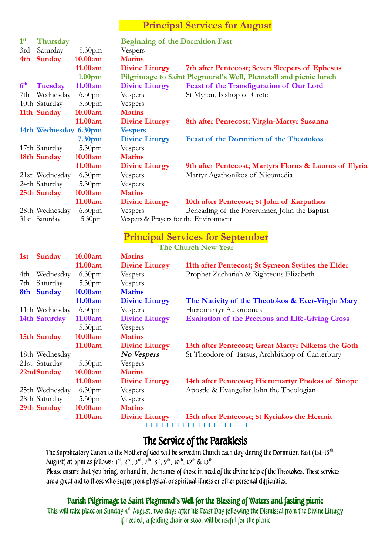## **Principal Services for August**

| 1 <sup>st</sup> | Thursday              |                    | <b>Beginning of the Dormition Fast</b> |                                                                 |
|-----------------|-----------------------|--------------------|----------------------------------------|-----------------------------------------------------------------|
| 3rd             | Saturday              | 5.30 <sub>pm</sub> | Vespers                                |                                                                 |
| 4th             | <b>Sunday</b>         | 10.00am            | <b>Matins</b>                          |                                                                 |
|                 |                       | 11.00am            | <b>Divine Liturgy</b>                  | 7th after Pentecost; Seven Sleepers of Ephesus                  |
|                 |                       | 1.00 <sub>pm</sub> |                                        | Pilgrimage to Saint Plegmund's Well, Plemstall and picnic lunch |
| 6 <sup>th</sup> | Tuesday               | 11.00am            | <b>Divine Liturgy</b>                  | Feast of the Transfiguration of Our Lord                        |
| 7th             | Wednesday             | 6.30 <sub>pm</sub> | Vespers                                | St Myron, Bishop of Crete                                       |
|                 | 10th Saturday         | 5.30 <sub>pm</sub> | Vespers                                |                                                                 |
|                 | 11th Sunday           | 10.00am            | <b>Matins</b>                          |                                                                 |
|                 |                       | 11.00am            | <b>Divine Liturgy</b>                  | 8th after Pentecost; Virgin-Martyr Susanna                      |
|                 | 14th Wednesday 6.30pm |                    | <b>Vespers</b>                         |                                                                 |
|                 |                       | 7.30 <sub>pm</sub> | <b>Divine Liturgy</b>                  | <b>Feast of the Dormition of the Theotokos</b>                  |
|                 | 17th Saturday         | 5.30 <sub>pm</sub> | Vespers                                |                                                                 |
|                 | 18th Sunday           | 10.00am            | <b>Matins</b>                          |                                                                 |
|                 |                       | 11.00am            | <b>Divine Liturgy</b>                  | 9th after Pentecost; Martyrs Florus & Laurus of Illyria         |
|                 | 21st Wednesday        | 6.30 <sub>pm</sub> | Vespers                                | Martyr Agathonikos of Nicomedia                                 |
|                 | 24th Saturday         | 5.30 <sub>pm</sub> | Vespers                                |                                                                 |
|                 | 25th Sunday           | 10.00am            | <b>Matins</b>                          |                                                                 |
|                 |                       | 11.00am            | <b>Divine Liturgy</b>                  | 10th after Pentecost; St John of Karpathos                      |
|                 | 28th Wednesday        | 6.30 <sub>pm</sub> | Vespers                                | Beheading of the Forerunner, John the Baptist                   |
|                 | 31st Saturday         | 5.30pm             | Vespers & Prayers for the Environment  |                                                                 |
|                 |                       |                    |                                        | <b>Principal Services for September</b>                         |

**The Church New Year**

| <b>Sunday</b><br>1st | 10.00am            | <b>Matins</b>         |                                                         |
|----------------------|--------------------|-----------------------|---------------------------------------------------------|
|                      | 11.00am            | <b>Divine Liturgy</b> | 11th after Pentecost; St Symeon Stylites the Elder      |
| Wednesday<br>4th     | 6.30 <sub>pm</sub> | Vespers               | Prophet Zachariah & Righteous Elizabeth                 |
| Saturday<br>7th      | 5.30 <sub>pm</sub> | Vespers               |                                                         |
| <b>Sunday</b><br>8th | 10.00am            | <b>Matins</b>         |                                                         |
|                      | 11.00am            | <b>Divine Liturgy</b> | The Nativity of the Theotokos & Ever-Virgin Mary        |
| 11th Wednesday       | 6.30 <sub>pm</sub> | Vespers               | <b>Hieromartyr Autonomus</b>                            |
| 14th Saturday        | 11.00am            | <b>Divine Liturgy</b> | <b>Exaltation of the Precious and Life-Giving Cross</b> |
|                      | 5.30 <sub>pm</sub> | Vespers               |                                                         |
| 15th Sunday          | 10.00am            | <b>Matins</b>         |                                                         |
|                      | 11.00am            | <b>Divine Liturgy</b> | 13th after Pentecost; Great Martyr Niketas the Goth     |
| 18th Wednesday       |                    | No Vespers            | St Theodore of Tarsus, Archbishop of Canterbury         |
| 21st Saturday        | 5.30 <sub>pm</sub> | Vespers               |                                                         |
| 22nd Sunday          | 10.00am            | <b>Matins</b>         |                                                         |
|                      | 11.00am            | <b>Divine Liturgy</b> | 14th after Pentecost; Hieromartyr Phokas of Sinope      |
| 25th Wednesday       | 6.30 <sub>pm</sub> | Vespers               | Apostle & Evangelist John the Theologian                |
| 28th Saturday        | 5.30 <sub>pm</sub> | Vespers               |                                                         |
| 29th Sunday          | 10.00am            | <b>Matins</b>         |                                                         |
|                      | 11.00am            | <b>Divine Liturgy</b> | 15th after Pentecost; St Kyriakos the Hermit            |

**++++++++++++++++++++**

# The Service of the Paraklesis

The Supplicatory Canon to the Mother of God will be served in Church each day during the Dormition Fast (1st-15<sup>th</sup>) August) at 3pm as follows:  $1^{st}$ ,  $2^{nd}$ ,  $3^{rd}$ ,  $7^{th}$ ,  $8^{th}$ ,  $9^{th}$ ,  $10^{th}$ ,  $12^{th}$  &  $13^{th}$ . Please ensure that you bring, or hand in, the names of those in need of the divine help of the Theotokos. These services are a great aid to those who suffer from physical or spiritual illness or other personal difficulties.

## Parish Pilgrimage to Saint Plegmund's Well for the Blessing of Waters and fasting picnic

This will take place on Sunday 4<sup>th</sup> August, two days after his Feast Day following the Dismissal from the Divine Liturgy If needed, a folding chair or stool will be useful for the picnic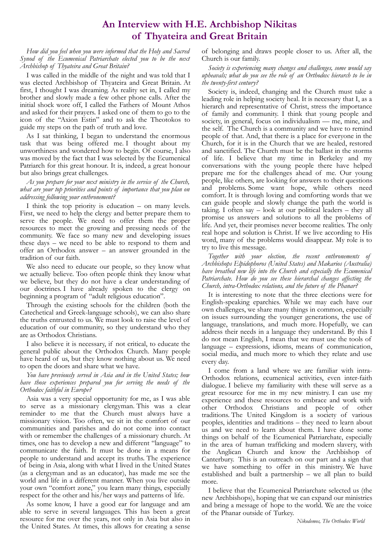## **An Interview with H.E. Archbishop Nikitas of Thyateira and Great Britain**

*How did you feel when you were informed that the Holy and Sacred Synod of the Ecumenical Patriarchate elected you to be the next Archbishop of Thyateira and Great Britain?*

I was called in the middle of the night and was told that I was elected Archbishop of Thyateira and Great Britain. At first, I thought I was dreaming. As reality set in, I called my brother and slowly made a few other phone calls. After the initial shock wore off, I called the Fathers of Mount Athos and asked for their prayers. I asked one of them to go to the icon of the "Axion Estin" and to ask the Theotokos to guide my steps on the path of truth and love.

As I sat thinking, I began to understand the enormous task that was being offered me. I thought about my unworthiness and wondered how to begin. Of course, I also was moved by the fact that I was selected by the Ecumenical Patriarch for this great honour. It is, indeed, a great honour but also brings great challenges.

#### *As you prepare for your next ministry in the service of the Church, what are your top priorities and points of importance that you plan on addressing following your enthronement?*

I think the top priority is education – on many levels. First, we need to help the clergy and better prepare them to serve the people. We need to offer them the proper resources to meet the growing and pressing needs of the community. We face so many new and developing issues these days – we need to be able to respond to them and offer an Orthodox answer – an answer grounded in the tradition of our faith.

We also need to educate our people, so they know what we actually believe. Too often people think they know what we believe, but they do not have a clear understanding of our doctrines. I have already spoken to the clergy on beginning a program of "adult religious education".

Through the existing schools for the children (both the Catechetical and Greek-language schools), we can also share the truths entrusted to us. We must look to raise the level of education of our community, so they understand who they are as Orthodox Christians.

I also believe it is necessary, if not critical, to educate the general public about the Orthodox Church. Many people have heard of us, but they know nothing about us. We need to open the doors and share what we have.

#### *You have previously served in Asia and in the United States; how have those experiences prepared you for serving the needs of the Orthodox faithful in Europe?*

Asia was a very special opportunity for me, as I was able to serve as a missionary clergyman. This was a clear reminder to me that the Church must always have a missionary vision. Too often, we sit in the comfort of our communities and parishes and do not come into contact with or remember the challenges of a missionary church. At times, one has to develop a new and different "language" to communicate the faith. It must be done in a means for people to understand and accept its truths. The experience of being in Asia, along with what I lived in the United States (as a clergyman and as an educator), has made me see the world and life in a different manner. When you live outside your own "comfort zone," you learn many things, especially respect for the other and his/her ways and patterns of life.

As some know, I have a good ear for language and am able to serve in several languages. This has been a great resource for me over the years, not only in Asia but also in the United States. At times, this allows for creating a sense

of belonging and draws people closer to us. After all, the Church is our family.

*Society is experiencing many changes and challenges, some would say upheavals; what do you see the role of an Orthodox hierarch to be in the twenty-first century?*

Society is, indeed, changing and the Church must take a leading role in helping society heal. It is necessary that I, as a hierarch and representative of Christ, stress the importance of family and community. I think that young people and society, in general, focus on individualism — me, mine, and the self. The Church is a community and we have to remind people of that. And, that there is a place for everyone in the Church, for it is in the Church that we are healed, restored and sanctified. The Church must be the ballast in the storms of life. I believe that my time in Berkeley and my conversations with the young people there have helped prepare me for the challenges ahead of me. Our young people, like others, are looking for answers to their questions and problems. Some want hope, while others need comfort. It is through loving and comforting words that we can guide people and slowly change the path the world is taking. I often say – look at our political leaders – they all promise us answers and solutions to all the problems of life. And yet, their promises never become realities. The only real hope and solution is Christ. If we live according to His word, many of the problems would disappear. My role is to try to live this message.

*Together with your election, the recent enthronements of Archbishops Elpidophoros (United States) and Makarios (Australia) have breathed new life into the Church and especially the Ecumenical Patriarchate. How do you see these hierarchal changes affecting the Church, intra-Orthodox relations, and the future of the Phanar?*

It is interesting to note that the three elections were for English-speaking eparchies. While we may each have our own challenges, we share many things in common, especially on issues surrounding the younger generations, the use of language, translations, and much more. Hopefully, we can address their needs in a language they understand. By this I do not mean English, I mean that we must use the tools of language – expressions, idioms, means of communication, social media, and much more to which they relate and use every day.

I come from a land where we are familiar with intra-Orthodox relations, ecumenical activities, even inter-faith dialogue. I believe my familiarity with these will serve as a great resource for me in my new ministry. I can use my experience and these resources to embrace and work with other Orthodox Christians and people of other traditions. The United Kingdom is a society of various peoples, identities and traditions – they need to learn about us and we need to learn about them. I have done some things on behalf of the Ecumenical Patriarchate, especially in the area of human trafficking and modern slavery, with the Anglican Church and know the Archbishop of Canterbury. This is an outreach on our part and a sign that we have something to offer in this ministry. We have established and built a partnership – we all plan to build more.

I believe that the Ecumenical Patriarchate selected us (the new Archbishops), hoping that we can expand our ministries and bring a message of hope to the world. We are the voice of the Phanar outside of Turkey.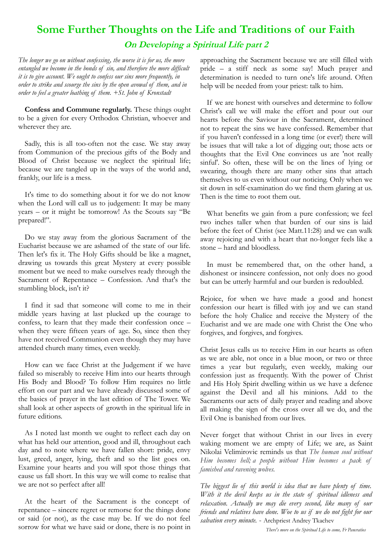# **Some Further Thoughts on the Life and Traditions of our Faith On Developing a Spiritual Life part 2**

*The longer we go on without confessing, the worse it is for us, the more entangled we become in the bonds of sin, and therefore the more difficult it is to give account. We ought to confess our sins more frequently, in order to strike and scourge the sins by the open avowal of them, and in order to feel a greater loathing of them. +St. John of Kronstadt*

**Confess and Commune regularly.** These things ought to be a given for every Orthodox Christian, whoever and wherever they are.

Sadly, this is all too-often not the case. We stay away from Communion of the precious gifts of the Body and Blood of Christ because we neglect the spiritual life; because we are tangled up in the ways of the world and, frankly, our life is a mess.

It's time to do something about it for we do not know when the Lord will call us to judgement: It may be many years – or it might be tomorrow! As the Scouts say "Be prepared!".

Do we stay away from the glorious Sacrament of the Eucharist because we are ashamed of the state of our life. Then let's fix it. The Holy Gifts should be like a magnet, drawing us towards this great Mystery at every possible moment but we need to make ourselves ready through the Sacrament of Repentance – Confession. And that's the stumbling block, isn't it?

I find it sad that someone will come to me in their middle years having at last plucked up the courage to confess, to learn that they made their confession once – when they were fifteen years of age. So, since then they have not received Communion even though they may have attended church many times, even weekly.

How can we face Christ at the Judgement if we have failed so miserably to receive Him into our hearts through His Body and Blood? To follow Him requires no little effort on our part and we have already discussed some of the basics of prayer in the last edition of The Tower. We shall look at other aspects of growth in the spiritual life in future editions.

As I noted last month we ought to reflect each day on what has held our attention, good and ill, throughout each day and to note where we have fallen short: pride, envy lust, greed, anger, lying, theft and so the list goes on. Examine your hearts and you will spot those things that cause us fall short. In this way we will come to realise that we are not so perfect after all!

At the heart of the Sacrament is the concept of repentance – sincere regret or remorse for the things done or said (or not), as the case may be. If we do not feel sorrow for what we have said or done, there is no point in

approaching the Sacrament because we are still filled with pride – a stiff neck as some say! Much prayer and determination is needed to turn one's life around. Often help will be needed from your priest: talk to him.

If we are honest with ourselves and determine to follow Christ's call we will make the effort and pour out our hearts before the Saviour in the Sacrament, determined not to repeat the sins we have confessed. Remember that if you haven't confessed in a long time (or ever!) there will be issues that will take a lot of digging out; those acts or thoughts that the Evil One convinces us are 'not really sinful'. So often, these will be on the lines of lying or swearing, though there are many other sins that attach themselves to us even without our noticing. Only when we sit down in self-examination do we find them glaring at us. Then is the time to root them out.

What benefits we gain from a pure confession; we feel two inches taller when that burden of our sins is laid before the feet of Christ (see Matt.11:28) and we can walk away rejoicing and with a heart that no-longer feels like a stone – hard and bloodless.

In must be remembered that, on the other hand, a dishonest or insincere confession, not only does no good but can be utterly harmful and our burden is redoubled.

Rejoice, for when we have made a good and honest confession our heart is filled with joy and we can stand before the holy Chalice and receive the Mystery of the Eucharist and we are made one with Christ the One who forgives, and forgives, and forgives.

Christ Jesus calls us to receive Him in our hearts as often as we are able, not once in a blue moon, or two or three times a year but regularly, even weekly, making our confession just as frequently. With the power of Christ and His Holy Spirit dwelling within us we have a defence against the Devil and all his minions. Add to the Sacraments our acts of daily prayer and reading and above all making the sign of the cross over all we do, and the Evil One is banished from our lives.

Never forget that without Christ in our lives in every waking moment we are empty of Life; we are, as Saint Nikolai Velimirovic reminds us that *The human soul without Him becomes hell; a people without Him becomes a pack of famished and ravening wolves.*

*The biggest lie of this world is idea that we have plenty of time. With it the devil keeps us in the state of spiritual idleness and relaxation. Actually we may die every second, like many of our friends and relatives have done. Woe to us if we do not fight for our salvation every minute.* - Archpriest Andrey Tkachev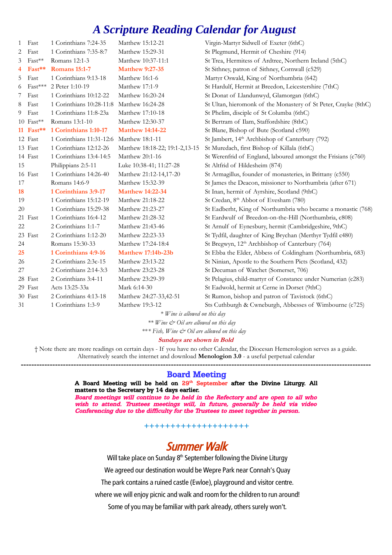# *A Scripture Reading Calendar for August*

| $\mathbf{1}$   | Fast        | 1 Corinthians 7:24-35    | Matthew 15:12-21               | Virgin-Martyr Sidwell of Exeter (6thC)                          |
|----------------|-------------|--------------------------|--------------------------------|-----------------------------------------------------------------|
| $\overline{2}$ | Fast        | 1 Corinthians 7:35-8:7   | Matthew 15:29-31               | St Plegmund, Hermit of Cheshire (914)                           |
| 3              | Fast**      | Romans 12:1-3            | Matthew 10:37-11:1             | St Trea, Hermitess of Ardtree, Northern Ireland (5thC)          |
| 4              | Fast**      | <b>Romans</b> 15:1-7     | <b>Matthew 9:27-35</b>         | St Sithney, patron of Sithney, Cornwall (c529)                  |
| 5              | Fast        | 1 Corinthians 9:13-18    | Matthew 16:1-6                 | Martyr Oswald, King of Northumbria (642)                        |
| 6              | Fast***     | 2 Peter 1:10-19          | Matthew 17:1-9                 | St Hardulf, Hermit at Breedon, Leicestershire (7thC)            |
| 7              | Fast        | 1 Corinthians 10:12-22   | Matthew 16:20-24               | St Donat of Llandunwyd, Glamorgan (6thC)                        |
| 8              | Fast        | 1 Corinthians 10:28-11:8 | Matthew 16:24-28               | St Ultan, hieromonk of the Monastery of St Peter, Crayke (8thC) |
| 9              | Fast        | 1 Corinthians 11:8-23a   | Matthew 17:10-18               | St Phelim, disciple of St Columba (6thC)                        |
|                | $10$ Fast** | Romans 13:1-10           | Matthew 12:30-37               | St Bertram of Ilam, Staffordshire (8thC)                        |
|                | 11 $Fast**$ | 1 Corinthians 1:10-17    | <b>Matthew 14:14-22</b>        | St Blane, Bishop of Bute (Scotland c590)                        |
|                | 12 Fast     | 1 Corinthians 11:31-12:6 | Matthew 18:1-11                | St Jambert, 14 <sup>th</sup> Archbishop of Canterbury (792)     |
|                | 13 Fast     | 1 Corinthians 12:12-26   | Matthew 18:18-22; 19:1-2,13-15 | St Muredach, first Bishop of Killala (6thC)                     |
|                | 14 Fast     | 1 Corinthians 13:4-14:5  | Matthew 20:1-16                | St Werenfrid of England, laboured amongst the Frisians (c760)   |
| 15             |             | Philippians 2:5-11       | Luke 10:38-41; 11:27-28        | St Altfrid of Hildesheim (874)                                  |
|                | 16 Fast     | 1 Corinthians 14:26-40   | Matthew 21:12-14,17-20         | St Armagillus, founder of monasteries, in Brittany (c550)       |
| 17             |             | Romans 14:6-9            | Matthew 15:32-39               | St James the Deacon, missioner to Northumbria (after 671)       |
| <b>18</b>      |             | 1 Corinthians 3:9-17     | <b>Matthew 14:22-34</b>        | St Inan, hermit of Ayrshire, Scotland (9thC)                    |
| 19             |             | 1 Corinthians 15:12-19   | Matthew 21:18-22               | St Credan, 8 <sup>th</sup> Abbot of Evesham (780)               |
| 20             |             | 1 Corinthians 15:29-38   | Matthew 21:23-27               | St Eadberht, King of Northumbria who became a monastic (768)    |
|                | 21 Fast     | 1 Corinthians 16:4-12    | Matthew 21:28-32               | St Eardwulf of Breedon-on-the-Hill (Northumbria, c808)          |
| 22             |             | 2 Corinthians 1:1-7      | Matthew 21:43-46               | St Arnulf of Eynesbury, hermit (Cambridgeshire, 9thC)           |
|                | 23 Fast     | 2 Corinthians 1:12-20    | Matthew 22:23-33               | St Tydfil, daughter of King Brychan (Merthyr Tydfil c480)       |
| 24             |             | Romans 15:30-33          | Matthew 17:24-18:4             | St Bregwyn, 12 <sup>th</sup> Archbishop of Canterbury (764)     |
| 25             |             | 1 Corinthians 4:9-16     | <b>Matthew 17:14b-23b</b>      | St Ebba the Elder, Abbess of Coldingham (Northumbria, 683)      |
| 26             |             | 2 Corinthians 2:3c-15    | Matthew 23:13-22               | St Ninian, Apostle to the Southern Picts (Scotland, 432)        |
| 27             |             | 2 Corinthians 2:14-3:3   | Matthew 23:23-28               | St Decuman of Watchet (Somerset, 706)                           |
|                | 28 Fast     | 2 Corinthians 3:4-11     | Matthew 23:29-39               | St Pelagius, child-martyr of Constance under Numerian (c283)    |
|                | 29 Fast     | Acts 13:25-33a           | Mark 6:14-30                   | St Eadwold, hermit at Cerne in Dorset (9thC)                    |
|                | 30 Fast     | 2 Corinthians 4:13-18    | Matthew 24:27-33,42-51         | St Rumon, bishop and patron of Tavistock (6thC)                 |
| 31             |             | 1 Corinthians 1:3-9      | Matthew 19:3-12                | Sts Cuthburgh & Cwneburgh, Abbesses of Wimbourne (c725)         |

*\* Wine is allowed on this day*

*\*\* Wine & Oil are allowed on this day* 

\*\**\* Fish, Wine & Oil are allowed on this day* 

**Sundays are shown in Bold**

† Note there are more readings on certain days - If you have no other Calendar, the Diocesan Hemerologion serves as a guide. Alternatively search the internet and download **Menologion 3.0** - a useful perpetual calendar

### **-------------------------------------------------------------------------------------------------------------------------------------** Board Meeting

A Board Meeting will be held on 29<sup>th</sup> September after the Divine Liturgy. All matters to the Secretary by 14 days earlier.

Board meetings will continue to be held in the Refectory and are open to all who wish to attend. Trustees meetings will, in future, generally be held via video Conferencing due to the difficulty for the Trustees to meet together in person.

**++++++++++++++++++++**

# Summer Walk

Will take place on Sunday 8<sup>th</sup> September following the Divine Liturgy

We agreed our destination would be Wepre Park near Connah's Quay

The park contains a ruined castle (Ewloe), playground and visitor centre.

where we will enjoy picnic and walk and room for the children to run around!

Some of you may be familiar with park already, others surely won't.